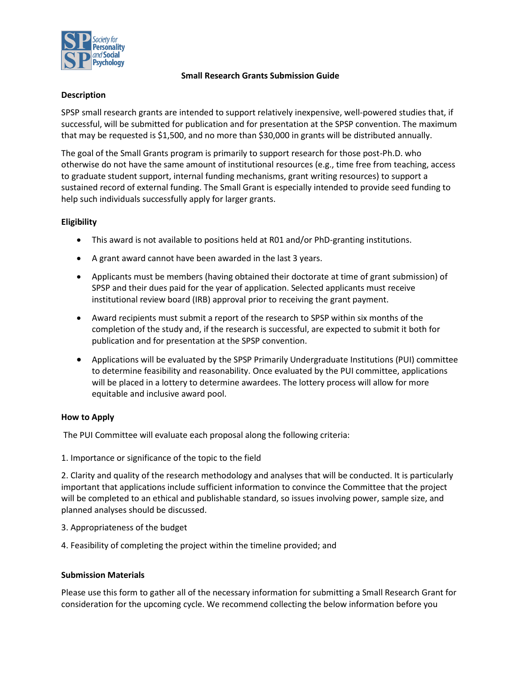

## **Small Research Grants Submission Guide**

## **Description**

SPSP small research grants are intended to support relatively inexpensive, well-powered studies that, if successful, will be submitted for publication and for presentation at the SPSP convention. The maximum that may be requested is \$1,500, and no more than \$30,000 in grants will be distributed annually.

The goal of the Small Grants program is primarily to support research for those post-Ph.D. who otherwise do not have the same amount of institutional resources (e.g., time free from teaching, access to graduate student support, internal funding mechanisms, grant writing resources) to support a sustained record of external funding. The Small Grant is especially intended to provide seed funding to help such individuals successfully apply for larger grants.

# **Eligibility**

- This award is not available to positions held at R01 and/or PhD-granting institutions.
- A grant award cannot have been awarded in the last 3 years.
- Applicants must be members (having obtained their doctorate at time of grant submission) of SPSP and their dues paid for the year of application. Selected applicants must receive institutional review board (IRB) approval prior to receiving the grant payment.
- Award recipients must submit a report of the research to SPSP within six months of the completion of the study and, if the research is successful, are expected to submit it both for publication and for presentation at the SPSP convention.
- Applications will be evaluated by the SPSP Primarily Undergraduate Institutions (PUI) committee to determine feasibility and reasonability. Once evaluated by the PUI committee, applications will be placed in a lottery to determine awardees. The lottery process will allow for more equitable and inclusive award pool.

# **How to Apply**

The PUI Committee will evaluate each proposal along the following criteria:

1. Importance or significance of the topic to the field

2. Clarity and quality of the research methodology and analyses that will be conducted. It is particularly important that applications include sufficient information to convince the Committee that the project will be completed to an ethical and publishable standard, so issues involving power, sample size, and planned analyses should be discussed.

- 3. Appropriateness of the budget
- 4. Feasibility of completing the project within the timeline provided; and

### **Submission Materials**

Please use this form to gather all of the necessary information for submitting a Small Research Grant for consideration for the upcoming cycle. We recommend collecting the below information before you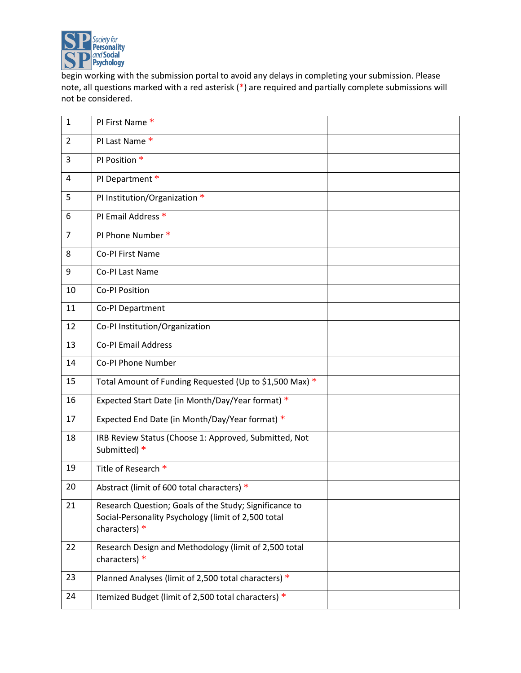

begin working with the submission portal to avoid any delays in completing your submission. Please note, all questions marked with a red asterisk (\*) are required and partially complete submissions will not be considered.

| $\mathbf{1}$   | PI First Name *                                                                                                                |  |
|----------------|--------------------------------------------------------------------------------------------------------------------------------|--|
| $\overline{2}$ | PI Last Name *                                                                                                                 |  |
| 3              | PI Position *                                                                                                                  |  |
| 4              | PI Department *                                                                                                                |  |
| 5              | PI Institution/Organization *                                                                                                  |  |
| 6              | PI Email Address *                                                                                                             |  |
| 7              | PI Phone Number *                                                                                                              |  |
| 8              | Co-PI First Name                                                                                                               |  |
| 9              | Co-PI Last Name                                                                                                                |  |
| 10             | Co-PI Position                                                                                                                 |  |
| 11             | Co-PI Department                                                                                                               |  |
| 12             | Co-PI Institution/Organization                                                                                                 |  |
| 13             | <b>Co-PI Email Address</b>                                                                                                     |  |
| 14             | Co-PI Phone Number                                                                                                             |  |
| 15             | Total Amount of Funding Requested (Up to \$1,500 Max) *                                                                        |  |
| 16             | Expected Start Date (in Month/Day/Year format) *                                                                               |  |
| 17             | Expected End Date (in Month/Day/Year format) *                                                                                 |  |
| 18             | IRB Review Status (Choose 1: Approved, Submitted, Not<br>Submitted) *                                                          |  |
| 19             | Title of Research *                                                                                                            |  |
| 20             | Abstract (limit of 600 total characters) *                                                                                     |  |
| 21             | Research Question; Goals of the Study; Significance to<br>Social-Personality Psychology (limit of 2,500 total<br>characters) * |  |
| 22             | Research Design and Methodology (limit of 2,500 total<br>characters) *                                                         |  |
| 23             | Planned Analyses (limit of 2,500 total characters) *                                                                           |  |
| 24             | Itemized Budget (limit of 2,500 total characters) *                                                                            |  |